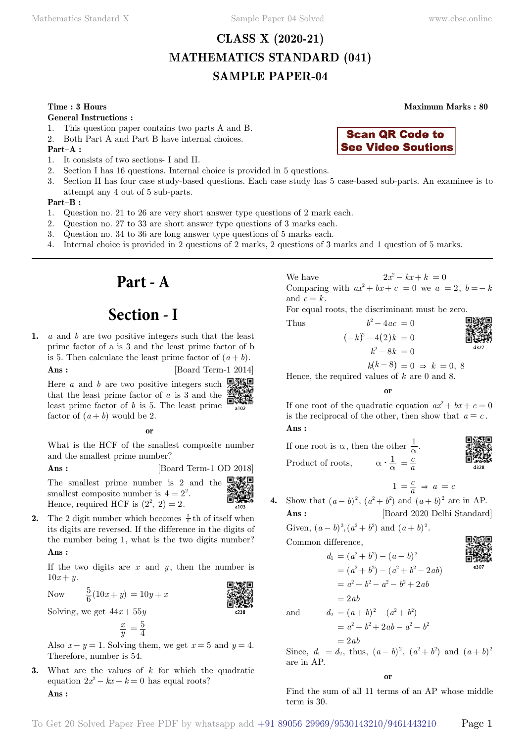# **CLASS X (2020-21) MATHEMATICS STANDARD (041) SAMPLE PAPER-04**

#### **Time : 3 Hours Maximum Marks : 80**

**General Instructions :**

- 1. This question paper contains two parts A and B.
- 2. Both Part A and Part B have internal choices.

**Part–A :**

- 1. It consists of two sections- I and II.
- 2. Section I has 16 questions. Internal choice is provided in 5 questions.
- 3. Section II has four case study-based questions. Each case study has 5 case-based sub-parts. An examinee is to attempt any 4 out of 5 sub-parts.

#### **Part–B :**

- 1. Question no. 21 to 26 are very short answer type questions of 2 mark each.
- 2. Question no. 27 to 33 are short answer type questions of 3 marks each.
- 3. Question no. 34 to 36 are long answer type questions of 5 marks each.
- 4. Internal choice is provided in 2 questions of 2 marks, 2 questions of 3 marks and 1 question of 5 marks.

# **Part - A**

# **Section - I**

**1.** *a* and *b* are two positive integers such that the least prime factor of a is 3 and the least prime factor of b is 5. Then calculate the least prime factor of  $(a + b)$ .

**Ans :** [Board Term-1 2014]

回涨回 Here *a* and *b* are two positive integers such that the least prime factor of *a* is 3 and the least prime factor of *b* is 5. The least prime factor of  $(a + b)$  would be 2.

 **o**

What is the HCF of the smallest composite number and the smallest prime number?

**Ans :** [Board Term-1 OD 2018]

回激回

The smallest prime number is 2 and the smallest composite number is  $4 = 2^2$ . Hence, required HCF is  $(2^2, 2) = 2$ .

**2.** The 2 digit number which becomes  $\frac{5}{6}$  th of itself when its digits are reversed. If the difference in the digits of the number being 1, what is the two digits number?  **Ans :**

If the two digits are  $x$  and  $y$ , then the number is  $10x + y$ .

Now  $\frac{5}{6}(10x+y) = 10y + x$ 

Solving, we get  $44x + 55y$ 

$$
\frac{x}{y} = \frac{5}{4}
$$

Also  $x - y = 1$ . Solving them, we get  $x = 5$  and  $y = 4$ . Therefore, number is 54.

**3.** What are the values of *k* for which the quadratic equation  $2x^2 - kx + k = 0$  has equal roots?  **Ans :**

We have  $2x^2 - kx + k = 0$ Comparing with  $ax^2 + bx + c = 0$  we  $a = 2$ ,  $b = -k$ and  $c = k$ .

**Scan QR Code to See Video Soutions** 

For equal roots, the discriminant must be zero.



 $k(k-8) = 0 \Rightarrow k = 0, 8$ 

Hence, the required values of *k* are 0 and 8.

 **o**

If one root of the quadratic equation  $ax^2 + bx + c = 0$ is the reciprocal of the other, then show that  $a = c$ .  **Ans :**

If one root is  $\alpha$ , then the other  $\frac{1}{\alpha}$ . Product of roots,  $\alpha \cdot \frac{1}{\alpha} = \frac{c}{a}$ 

$$
1 = \frac{c}{a} \Rightarrow a = c
$$

**4.** Show that  $(a - b)^2$ ,  $(a^2 + b^2)$  and  $(a + b)^2$  are in AP. **Ans :** [Board 2020 Delhi Standard]

Given,  $(a - b)^2$ ,  $(a^2 + b^2)$  and  $(a + b)^2$ .

Common difference,

$$
d_1 = (a^2 + b^2) - (a - b)^2
$$
  
=  $(a^2 + b^2) - (a^2 + b^2 - 2ab)$   
=  $a^2 + b^2 - a^2 - b^2 + 2ab$   
=  $2ab$ 

and 
$$
d_2 = (a+b)^2 - (a^2 + b^2)
$$

$$
= a^2 + b^2 + 2ab - a^2 - b^2
$$

 $= 2ab$ Since,  $d_1 = d_2$ , thus,  $(a - b)^2$ ,  $(a^2 + b^2)$  and  $(a + b)^2$ are in AP.

 **o**

Find the sum of all 11 terms of an AP whose middle term is 30.

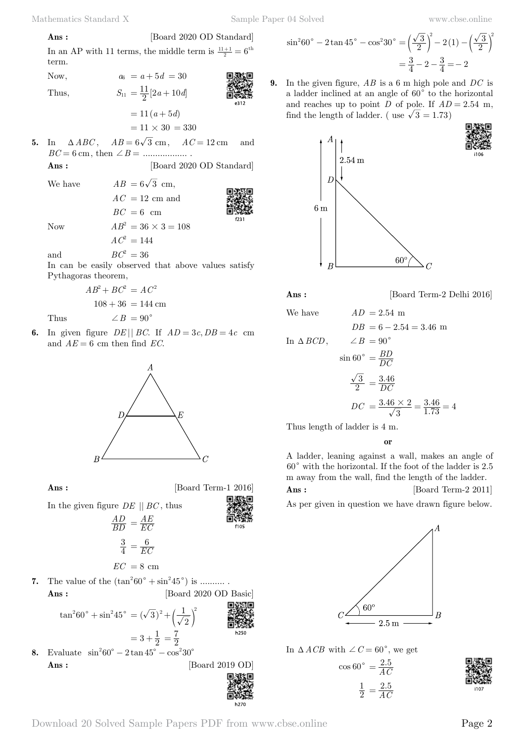**Ans :** [Board 2020 OD Standard]  
In an AP with 11 terms, the middle term is 
$$
\frac{11+1}{2} = 6^{\text{th}}
$$
 term.

Now,  $a_6 = a + 5d = 30$ 

Thus,  

$$
S_{11} = \frac{11}{2} [2a + 10d]
$$

$$
= 11 (a + 5d)
$$

$$
= 11 (a + 5d)
$$
  

$$
= 11 \times 30 = 330
$$

**5.** In  $\triangle ABC$ ,  $AB = 6\sqrt{3}$  cm,  $AC = 12$  cm and *BC* = 6 cm, then +*B* = .................. .

> $AC = 12$  cm and  $BC = 6$  cm

**Ans :** [Board 2020 OD Standard]

f231

We have  $AB = 6\sqrt{3}$  cm,

Now  $AB^2 = 36 \times 3 = 108$ 

 $AC^2 = 144$ 

and  $BC^2 = 36$ 

In can be easily observed that above values satisfy Pythagoras theorem,

$$
AB^{2} + BC^{2} = AC^{2}
$$

$$
108 + 36 = 144 \text{ cm}
$$
Thus  $\angle B = 90^{\circ}$ 

**6.** In given figure  $DE \mid BE \mid BC$ . If  $AD = 3c$ ,  $DB = 4c$  cm and  $AE = 6$  cm then find *EC*.



**Ans :** [Board Term-1 2016]

In the given figure *DE* || *BC* , thus

$$
\frac{AD}{BD} = \frac{AE}{EC}
$$

$$
\frac{3}{4} = \frac{6}{EC}
$$

*AE* 

$$
EC\ = 8\ \mathrm{cm}
$$

**7.** The value of the  $(\tan^2 60^\circ + \sin^2 45^\circ)$  is .......... **Ans :** [Board 2020 OD Basic]

$$
\tan^2 60^\circ + \sin^2 45^\circ = (\sqrt{3})^2 + \left(\frac{1}{\sqrt{2}}\right)^2
$$
\n
$$
= 3 + \frac{1}{2} = \frac{7}{2}
$$
\n1.11

\n1.230

**8.** Evaluate  $\sin^2 60^\circ - 2 \tan 45^\circ - \cos^2 30^\circ$ **Ans :** [Board 2019 OD]



$$
\sin^2 60^\circ - 2 \tan 45^\circ - \cos^2 30^\circ = \left(\frac{\sqrt{3}}{2}\right)^2 - 2(1) - \left(\frac{\sqrt{3}}{2}\right)^2
$$

$$
= \frac{3}{4} - 2 - \frac{3}{4} = -2
$$

**9.** In the given figure, *AB* is a 6 m high pole and *DC* is a ladder inclined at an angle of  $60^{\circ}$  to the horizontal and reaches up to point *D* of pole. If  $AD = 2.54$  m, find the length of ladder. ( use  $\sqrt{3} = 1.73$ )



**Ans :** [Board Term-2 Delhi 2016]

We have  $AD = 2.54$  m  $DB = 6 - 2.54 = 3.46$  m In  $\triangle BCD$ ,  $\angle B = 90^\circ$  $\sin 60^\circ = \frac{BD}{DC}$ 2  $\frac{3}{2}$   $\frac{3}{2}$  $=\frac{3.46}{DC}$  $DC = \frac{3.46 \times 2}{\sqrt{3}} = \frac{3.46 \times 2}{1.4}$ . 3  $3.46 \times 2$  $=\frac{3.46\times2}{\sqrt{3}}=\frac{3.46}{1.73}=4$ 

Thus length of ladder is 4 m.

 **o**

A ladder, leaning against a wall, makes an angle of  $60^{\circ}$  with the horizontal. If the foot of the ladder is 2.5 m away from the wall, find the length of the ladder. **Ans :** [Board Term-2 2011]

As per given in question we have drawn figure below.



In  $\triangle ACB$  with  $\angle C = 60^{\circ}$ , we get

 $cos$ 

$$
60^\circ = \frac{2.5}{AC}
$$

$$
\frac{1}{2} = \frac{2.5}{AC}
$$

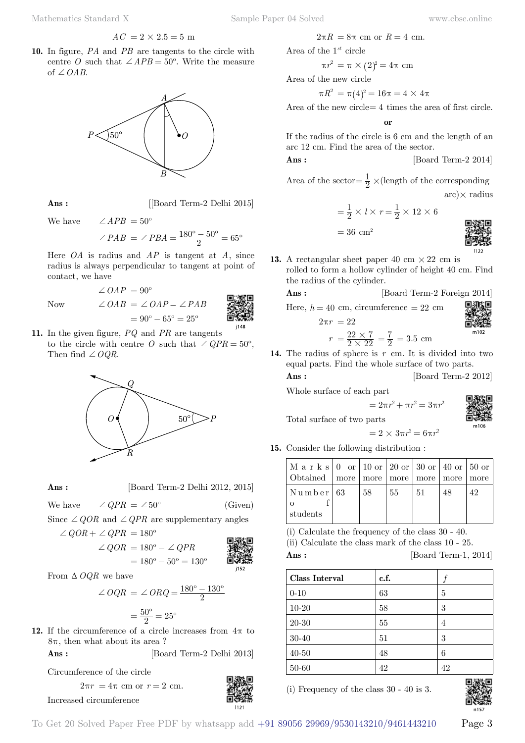$$
AC = 2 \times 2.5 = 5 \text{ m}
$$

**10.** In figure, *PA* and *PB* are tangents to the circle with centre *O* such that  $\angle APB = 50^{\circ}$ . Write the measure of  $\angle OAB$ .



**Ans :** [[Board Term-2 Delhi 2015]

We have  $\angle APB = 50^\circ$ 

$$
\angle PAB = \angle PBA = \frac{180^{\circ} - 50^{\circ}}{2} = 65^{\circ}
$$

Here *OA* is radius and *AP* is tangent at *A*, since radius is always perpendicular to tangent at point of contact, we have

Now  $\angle OAB = \angle OA$ 

$$
= 90^{\circ}
$$
  
=  $\angle OAP - \angle PAB$   
=  $90^{\circ} - 65^{\circ} = 25^{\circ}$ 

**11.** In the given figure, *PQ* and *PR* are tangents to the circle with centre *O* such that  $\angle QPR = 50^{\circ}$ . Then find  $\angle OQR$ .

 $\angle OAP = 90^\circ$ 



**Ans :** [Board Term-2 Delhi 2012, 2015]

We have 
$$
\angle QPR = \angle 50^{\circ}
$$
 (Given)

Since  $\angle QOR$  and  $\angle QPR$  are supplementary angles

$$
\angle QOR + \angle QPR = 180^{\circ}
$$
\n
$$
\angle QOR = 180^{\circ} - \angle QPR
$$
\n
$$
= 180^{\circ} - 50^{\circ} = 130^{\circ}
$$
\nThis is

From  $\Delta OQR$  we have

$$
\angle OQR = \angle ORQ = \frac{180^{\circ} - 130^{\circ}}{2}
$$

$$
= \frac{50^{\circ}}{2} = 25^{\circ}
$$

**12.** If the circumference of a circle increases from  $4\pi$  to  $8\pi$ , then what about its area?

 **Ans :** [Board Term-2 Delhi 2013]

Circumference of the circle

$$
2\pi r = 4\pi \text{ cm or } r = 2 \text{ cm}.
$$

Increased circumference



Area of the 1*st* circle

$$
\pi r^2 = \pi \times (2)^2 = 4\pi \text{ cm}
$$

Area of the new circle

$$
\pi R^2=\pi(4)^2=16\pi=4\times 4\pi
$$

Area of the new circle= 4 times the area of first circle.

 **o**

If the radius of the circle is 6 cm and the length of an arc 12 cm. Find the area of the sector.

$$
Ans : \qquad \qquad [\text{Board Term-2 2014}]
$$

Area of the sector =  $\frac{1}{2}$  × (length of the corresponding  $\arctan x$  radius

$$
= \frac{1}{2} \times l \times r = \frac{1}{2} \times 12 \times 6
$$

$$
= 36 \text{ cm}^2
$$



**13.** A rectangular sheet paper 40 cm  $\times$  22 cm is rolled to form a hollow cylinder of height 40 cm. Find the radius of the cylinder.

 **Ans :** [Board Term-2 Foreign 2014]

Here,  $h = 40$  cm, circumference  $= 22$  cm

$$
\begin{array}{c}\n\text{MSE} \\
\text{MSE} \\
\text{MSE} \\
\text{MSE} \\
\text{MSE} \\
\text{MSE} \\
\text{MSE} \\
\text{MSE} \\
\text{MSE} \\
\text{MSE} \\
\text{MSE} \\
\text{MSE} \\
\text{MSE} \\
\text{MSE} \\
\text{MSE} \\
\text{MSE} \\
\text{MSE} \\
\text{MSE} \\
\text{MSE} \\
\text{MSE} \\
\text{MSE} \\
\text{MSE} \\
\text{MSE} \\
\text{MSE} \\
\text{MSE} \\
\text{MSE} \\
\text{MSE} \\
\text{MSE} \\
\text{MSE} \\
\text{MSE} \\
\text{MSE} \\
\text{MSE} \\
\text{MSE} \\
\text{MSE} \\
\text{MSE} \\
\text{MSE} \\
\text{MSE} \\
\text{MSE} \\
\text{MSE} \\
\text{MSE} \\
\text{MSE} \\
\text{MSE} \\
\text{MSE} \\
\text{MSE} \\
\text{MSE} \\
\text{MSE} \\
\text{MSE} \\
\text{MSE} \\
\text{MSE} \\
\text{MSE} \\
\text{MSE} \\
\text{MSE} \\
\text{MSE} \\
\text{MSE} \\
\text{MSE} \\
\text{MSE} \\
\text{MSE} \\
\text{MSE} \\
\text{MSE} \\
\text{MSE} \\
\text{MSE} \\
\text{MSE} \\
\text{MSE} \\
\text{MSE} \\
\text{MSE} \\
\text{MSE} \\
\text{MSE} \\
\text{MSE} \\
\text{MSE} \\
\text{MSE} \\
\text{MSE} \\
\text{MSE} \\
\text{MSE} \\
\text{MSE} \\
\text{MSE} \\
\text{MSE} \\
\text{MSE} \\
\text{MSE} \\
\text{MSE} \\
\text{MSE} \\
\text{MSE} \\
\text{MSE} \\
\text{MSE} \\
\text{MSE} \\
\text{MSE} \\
\text{MSE} \\
\text{MSE} \\
\text{MSE} \\
\text{MSE} \\
\text{MSE} \\
\text{MSE} \\
\text{MSE} \\
\text{MSE} \\
\text{MSE} \\
\text{MSE} \\
\text{MSE} \\
\text{MSE} \\
\text{MSE} \\
\text{MSE} \\
\text{MSE} \\
\text{MSE} \\
\text{MSE} \\
\text{MSE} \\
\text{MSE} \\
\text{MSE} \\
\text{MSE} \\
\text{MSE} \\
\text{
$$

$$
r = \frac{22 \times 7}{2 \times 22} = \frac{7}{2} = 3.5
$$
 cm

**14.** The radius of sphere is *r* cm. It is divided into two equal parts. Find the whole surface of two parts.

**Ans :** [Board Term-2 2012]

Whole surface of each part

 $2\pi n = 22$ 

$$
\begin{matrix}\n\mathbb{R} \\
\mathbb{R} \\
\mathbb{R}\n\end{matrix}
$$

Total surface of two parts

$$
=2\times 3\pi r^2=6\pi r^2
$$

 $= 2\pi r^2 + \pi r^2 = 3\pi r^2$ 

**15.** Consider the following distribution :

| M a r k s   0 or   10 or   20 or   30 or   40 or   50 or<br>  Obtained   more   more   more   more   more |     |    |     |    | l more |
|-----------------------------------------------------------------------------------------------------------|-----|----|-----|----|--------|
| $\vert$ Number $\vert$ 63                                                                                 | -58 | 55 | -51 | 48 | 42     |
|                                                                                                           |     |    |     |    |        |
| l students                                                                                                |     |    |     |    |        |

(i) Calculate the frequency of the class 30 - 40.

(ii) Calculate the class mark of the class 10 - 25.

**Ans :** [Board Term-1, 2014]

| <b>Class Interval</b> | c.f. |                |
|-----------------------|------|----------------|
| $0 - 10$              | 63   | 5              |
| $10 - 20$             | 58   | 3              |
| $20 - 30$             | 55   | $\overline{4}$ |
| 30-40                 | 51   | 3              |
| $40 - 50$             | 48   | 6              |
| 50-60                 | 42   | 42             |

(i) Frequency of the class 30 - 40 is 3.



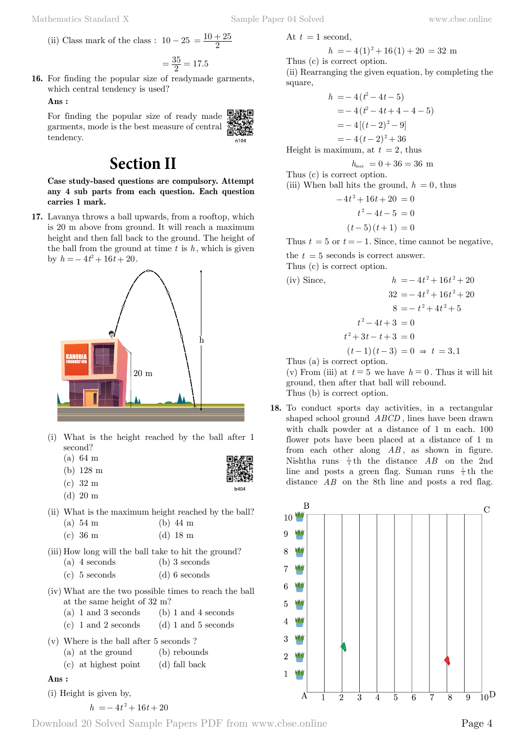n104

h404

(ii) Class mark of the class : 
$$
10 - 25 = \frac{10 + 25}{2}
$$

$$
=\frac{35}{2}=17.5
$$

**16.** For finding the popular size of readymade garments, which central tendency is used?

#### **Ans :**

For finding the popular size of ready made garments, mode is the best measure of central tendency.

# **Section II**

**Case study-based questions are compulsory. Attempt any 4 sub parts from each question. Each question carries 1 mark.**

**17.** Lavanya throws a ball upwards, from a rooftop, which is 20 m above from ground. It will reach a maximum height and then fall back to the ground. The height of the ball from the ground at time  $t$  is  $h$ , which is given by  $h = -4t^2 + 16t + 20$ .



- (i) What is the height reached by the ball after 1 second?
	- (a) 64 m (b) 128 m
	- (c) 32 m
	- (d) 20 m
- (ii) What is the maximum height reached by the ball? (a) 54 m (b) 44 m

|  | (c) 36 m | $(d)$ 18 m |  |
|--|----------|------------|--|
|  |          |            |  |

- (iii) How long will the ball take to hit the ground?
	- (a) 4 seconds (b) 3 seconds
	- (c) 5 seconds (d) 6 seconds
- (iv) What are the two possible times to reach the ball at the same height of 32 m?
	- (a) 1 and 3 seconds (b) 1 and 4 seconds
	- (c)  $1$  and  $2$  seconds (d)  $1$  and  $5$  seconds
- (v) Where is the ball after 5 seconds ?
	- (a) at the ground (b) rebounds
	- (c) at highest point (d) fall back

#### **Ans :**

(i) Height is given by,

$$
h = -4t^2 + 16t + 20
$$

At  $t = 1$  second,

$$
h = -4(1)^{2} + 16(1) + 20 = 32
$$
 m  
Thus (c) is correct option.

(ii) Rearranging the given equation, by completing the square,

$$
h = -4(t^2 - 4t - 5)
$$
  
= -4(t<sup>2</sup> - 4t + 4 - 4 - 5)  
= -4[(t - 2)<sup>2</sup> - 9]  
= -4(t - 2)<sup>2</sup> + 36

Height is maximum, at  $t = 2$ , thus

$$
h_{\text{max}} = 0 + 36 = 36 \text{ m}
$$

Thus (c) is correct option.

(iii) When ball hits the ground, 
$$
h = 0
$$
, thus

$$
-4t2 + 16t + 20 = 0
$$

$$
t2 - 4t - 5 = 0
$$

$$
(t-5)(t+1) = 0
$$

Thus  $t = 5$  or  $t = -1$ . Since, time cannot be negative,

the  $t = 5$  seconds is correct answer.

Thus (c) is correct option.

(iv) Since,  
\n
$$
h = -4t^2 + 16t^2 + 20
$$
\n
$$
32 = -4t^2 + 16t^2 + 20
$$
\n
$$
8 = -t^2 + 4t^2 + 5
$$
\n
$$
t^2 - 4t + 3 = 0
$$
\n
$$
t^2 + 3t - t + 3 = 0
$$
\n
$$
(t - 1)(t - 3) = 0 \Rightarrow t = 3, 1
$$
\nThus (a) is correct option.

(v) From (iii) at  $t = 5$  we have  $h = 0$ . Thus it will hit

ground, then after that ball will rebound.

Thus (b) is correct option.

**18.** To conduct sports day activities, in a rectangular shaped school ground *ABCD* , lines have been drawn with chalk powder at a distance of 1 m each. 100 flower pots have been placed at a distance of 1 m from each other along *AB* , as shown in figure. Nishtha runs  $\frac{1}{4}$ th the distance *AB* on the 2nd line and posts a green flag. Suman runs  $\frac{1}{5}$ th the distance *AB* on the 8th line and posts a red flag.

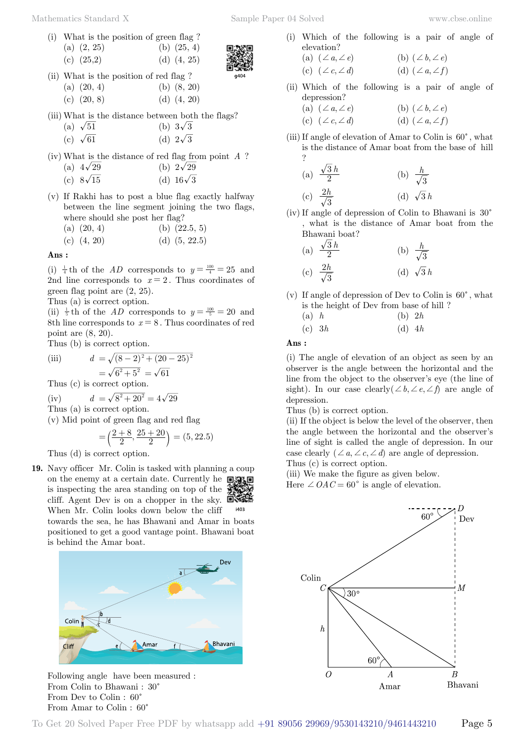Mathematics Standard X Sample Paper 04 Solved [www.cbse.online](http://www.cbse.online)

- (i) What is the position of green flag ? (a)  $(2, 25)$  (b)  $(25, 4)$ 
	- (c)  $(25,2)$  (d)  $(4, 25)$



- (c)  $(20, 8)$  (d)  $(4, 20)$
- (iii) What is the distance between both the flags?

(a) 
$$
\sqrt{51}
$$
  
(b)  $3\sqrt{3}$   
(c)  $\sqrt{61}$   
(d)  $2\sqrt{3}$ 

(iv) What is the distance of red flag from point *A* ? (a)  $4\sqrt{29}$  (b)  $2\sqrt{29}$ 

| $\sqrt{ }$ |                  | $\sim$ |                  |
|------------|------------------|--------|------------------|
|            | (c) $8\sqrt{15}$ |        | (d) $16\sqrt{3}$ |

(v) If Rakhi has to post a blue flag exactly halfway between the line segment joining the two flags, where should she post her flag?

(a) 
$$
(20, 4)
$$
 (b)  $(22.5, 5)$ 

(c) 
$$
(4, 20)
$$
 (d)  $(5, 22.5)$ 

 **Ans :**

(i)  $\frac{1}{4}$ th of the *AD* corresponds to  $y = \frac{100}{4} = 25$  and 2nd line corresponds to  $x = 2$ . Thus coordinates of green flag point are (2, 25).

Thus (a) is correct option.

(ii)  $\frac{1}{5}$ th of the *AD* corresponds to  $y = \frac{100}{5} = 20$  and 8th line corresponds to  $x = 8$ . Thus coordinates of red point are (8, 20).

Thus (b) is correct option.

(iii) 
$$
d = \sqrt{(8-2)^2 + (20-25)^2} = \sqrt{6^2 + 5^2} = \sqrt{61}
$$

Thus (c) is correct option.

(iv) 
$$
d = \sqrt{8^2 + 20^2} = 4\sqrt{29}
$$

Thus (a) is correct option.

(v) Mid point of green flag and red flag

$$
= \left(\frac{2+8}{2}, \frac{25+20}{2}\right) = (5, 22.5)
$$

Thus (d) is correct option.

**19.** Navy officer Mr. Colin is tasked with planning a coup on the enemy at a certain date. Currently he  $\Box$ is inspecting the area standing on top of the cliff. Agent Dev is on a chopper in the sky. 回旋 When Mr. Colin looks down below the cliff

towards the sea, he has Bhawani and Amar in boats positioned to get a good vantage point. Bhawani boat is behind the Amar boat.





- (i) Which of the following is a pair of angle of elevation?
	- (a)  $(\angle a, \angle e)$  (b)  $(\angle b, \angle e)$ (c)  $(\angle c, \angle d)$  (d)  $(\angle a, \angle f)$
- (ii) Which of the following is a pair of angle of depression?
	- (a)  $(\angle a, \angle e)$  (b)  $(\angle b, \angle e)$
	- (c)  $(\angle c, \angle d)$  (d)  $(\angle a, \angle f)$
- (iii) If angle of elevation of Amar to Colin is  $60^{\circ}$ , what is the distance of Amar boat from the base of hill ?

(a) 
$$
\frac{\sqrt{3}h}{2}
$$
 (b)  $\frac{h}{\sqrt{3}}$   
(c)  $\frac{2h}{\sqrt{3}}$  (d)  $\sqrt{3}h$ 

(iv) If angle of depression of Colin to Bhawani is  $30^{\circ}$ , what is the distance of Amar boat from the Bhawani boat?

(a) 
$$
\frac{\sqrt{3}h}{2}
$$
 (b)  $\frac{h}{\sqrt{3}}$ 

(c) 
$$
\frac{2h}{\sqrt{3}}
$$
 (d)  $\sqrt{3}h$ 

(v) If angle of depression of Dev to Colin is  $60^{\circ}$ , what is the height of Dev from base of hill ?

| (a) $h$  | (b) $2h$ |
|----------|----------|
| (c) $3h$ | (d) $4h$ |

 **Ans :**

(i) The angle of elevation of an object as seen by an observer is the angle between the horizontal and the line from the object to the observer's eye (the line of sight). In our case clearly  $(\angle b, \angle e, \angle f)$  are angle of depression.

Thus (b) is correct option.

(ii) If the object is below the level of the observer, then the angle between the horizontal and the observer's line of sight is called the angle of depression. In our case clearly  $(\angle a, \angle c, \angle d)$  are angle of depression. Thus (c) is correct option.

(iii) We make the figure as given below.

Here  $\angle OAC = 60^{\circ}$  is angle of elevation.



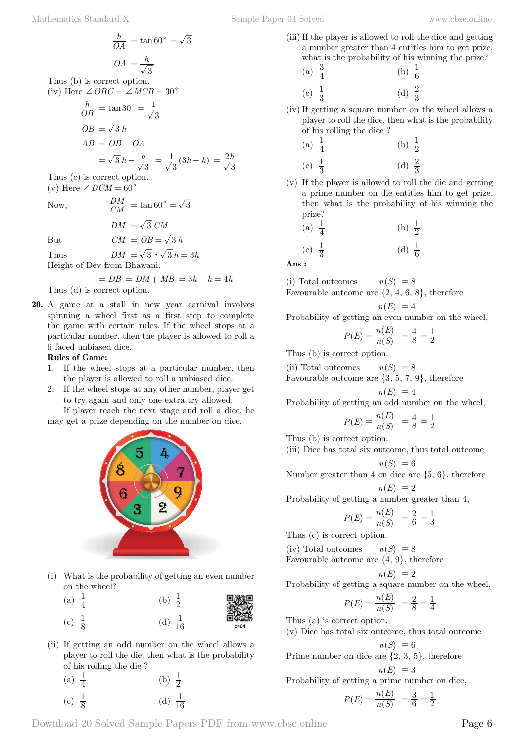Thus (b) is correct option.

(iv) Here  $\angle OBC = \angle MCB = 30^{\circ}$ 

$$
\frac{h}{OB} = \tan 30^\circ = \frac{1}{\sqrt{3}}
$$
  

$$
OB = \sqrt{3} h
$$
  

$$
AB = OB - OA
$$
  

$$
= \sqrt{3} h - \frac{h}{\sqrt{3}} = \frac{1}{\sqrt{3}} (3h - h) = \frac{2h}{\sqrt{3}}
$$

Thus (c) is correct option. (v) Here  $\angle$  *DCM* = 60<sup>°</sup>

Now,  $\frac{DM}{CM} = \tan 60^\circ = \sqrt{3}$ 

But  $CM = OB = \sqrt{3}h$ 

 $DM = \sqrt{3} CM$ 

Thus  $DM = \sqrt{3} \cdot \sqrt{3} h = 3h$ Height of Dev from Bhawani,

 $= DB = DM + MB = 3h + h = 4h$ 

Thus (d) is correct option.

**20.** A game at a stall in new year carnival involves spinning a wheel first as a first step to complete the game with certain rules. If the wheel stops at a particular number, then the player is allowed to roll a 6 faced unbiased dice.

#### **Rules of Game:**

- 1. If the wheel stops at a particular number, then the player is allowed to roll a unbiased dice.
- 2. If the wheel stops at any other number, player get to try again and only one extra try allowed.

If player reach the next stage and roll a dice, he may get a prize depending on the number on dice.



(i) What is the probability of getting an even number on the wheel?

| (a) $\frac{1}{4}$ | (b) $\frac{1}{2}$  | ▓▓   |
|-------------------|--------------------|------|
| (c) $\frac{1}{8}$ | (d) $\frac{1}{16}$ | o404 |

(ii) If getting an odd number on the wheel allows a player to roll the die, then what is the probability of his rolling the die ?

(a) 
$$
\frac{1}{4}
$$
 (b)  $\frac{1}{2}$ 

(c)  $\frac{1}{8}$  $\frac{1}{8}$  (d)  $\frac{1}{16}$ 

- 
- (iii)If the player is allowed to roll the dice and getting a number greater than 4 entitles him to get prize, what is the probability of his winning the prize?

(a) 
$$
\frac{3}{4}
$$
 (b)  $\frac{1}{6}$   
(c)  $\frac{1}{3}$  (d)  $\frac{2}{3}$ 

(iv) If getting a square number on the wheel allows a player to roll the dice, then what is the probability of his rolling the dice ?

(a) 
$$
\frac{1}{4}
$$
 (b)  $\frac{1}{2}$   
(c)  $\frac{1}{3}$  (d)  $\frac{2}{3}$ 

(v) If the player is allowed to roll the die and getting a prime number on die entitles him to get prize, then what is the probability of his winning the prize?

(a) 
$$
\frac{1}{4}
$$
 (b)  $\frac{1}{2}$   
(c)  $\frac{1}{3}$  (d)  $\frac{1}{6}$ 

 **Ans :**

(i) Total outcomes 
$$
n(S) = 8
$$
  
Favourable outcome are  $\{2, 4, 6, 8\}$ , therefore

 $n(E) = 4$ Probability of getting an even number on the wheel,

$$
P(E) = \frac{n(E)}{n(S)} = \frac{4}{8} = \frac{1}{2}
$$

Thus (b) is correct option.

(ii) Total outcomes  $n(S) = 8$ 

Favourable outcome are  $\{3, 5, 7, 9\}$ , therefore

$$
n(E) = 4
$$

Probability of getting an odd number on the wheel,

$$
P(E) = \frac{n(E)}{n(S)} = \frac{4}{8} = \frac{1}{2}
$$

Thus (b) is correct option.

(iii) Dice has total six outcome, thus total outcome  $n(S) = 6$ 

Number greater than 4 on dice are  $\{5, 6\}$ , therefore

$$
n(E) = 2
$$
  
Probability of getting a number greater than 4,

$$
P(E) = \frac{n(E)}{n(S)} = \frac{2}{6} = \frac{1}{3}
$$

Thus (c) is correct option.

(iv) Total outcomes  $n(S) = 8$ 

Favourable outcome are {4, 9}, therefore

$$
n(E)\ = 2
$$

Probability of getting a square number on the wheel,

$$
P(E) = \frac{n(E)}{n(S)} = \frac{2}{8} = \frac{1}{4}
$$

Thus (a) is correct option.

(v) Dice has total six outcome, thus total outcome

$$
n(S) = 6
$$
  
Prime number on dice are {2, 3, 5}, therefore

 $n(E) = 3$ Probability of getting a prime number on dice,

$$
P(E) = \frac{n(E)}{n(S)} = \frac{3}{6} = \frac{1}{2}
$$

Download 20 Solved Sample Papers PDF from [www.cbse.online](http://www.cbse.online) Page 6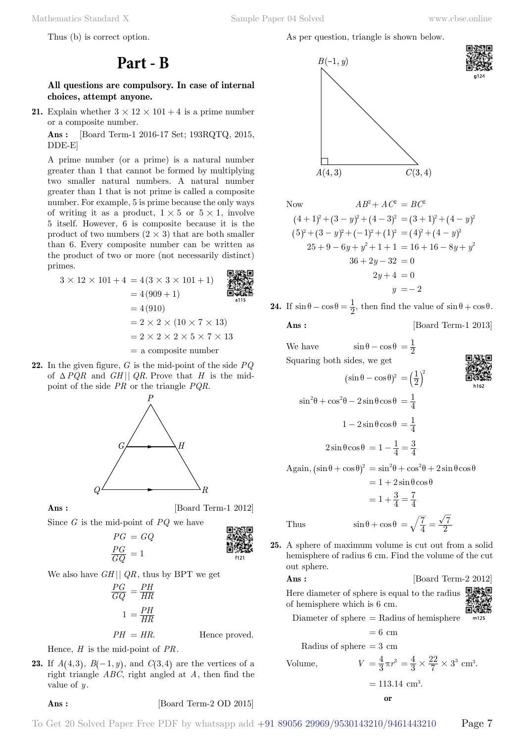Mathematics Standard X Sample Paper 04 Solved [www.cbse.online](http://www.cbse.online)

Thus (b) is correct option.

## **Part - B**

### **All questions are compulsory. In case of internal choices, attempt anyone.**

**21.** Explain whether  $3 \times 12 \times 101 + 4$  is a prime number or a composite number.

 **Ans :** [Board Term-1 2016-17 Set; 193RQTQ, 2015, DDE-E]

A prime number (or a prime) is a natural number greater than 1 that cannot be formed by multiplying two smaller natural numbers. A natural number greater than 1 that is not prime is called a composite number. For example, 5 is prime because the only ways of writing it as a product,  $1 \times 5$  or  $5 \times 1$ , involve 5 itself. However, 6 is composite because it is the product of two numbers  $(2 \times 3)$  that are both smaller than 6. Every composite number can be written as the product of two or more (not necessarily distinct) primes. **GIVE FO** 

$$
3 \times 12 \times 101 + 4 = 4(3 \times 3 \times 101 + 1)
$$
  
= 4(909 + 1)  
= 4(910)  
= 2 \times 2 \times (10 \times 7 \times 13)  
= 2 \times 2 \times 5 \times 7 \times 13  
= a composite number

**22.** In the given figure, *G* is the mid-point of the side *PQ* of  $\triangle PQR$  and *GH*|| *QR*. Prove that *H* is the midpoint of the side *PR* or the triangle *PQR*.



**Ans :** [Board Term-1 2012]



$$
PG = GQ
$$
  

$$
\frac{PG}{GQ} = 1
$$
  

$$
\frac{PG}{GQ}
$$

We also have *GH* || *QR*, thus by BPT we get

$$
\frac{PG}{GQ} = \frac{PH}{HR}
$$

$$
1 = \frac{PH}{HR}
$$

$$
PH = HR.
$$
 Hence proved.

Hence, *H* is the mid-point of *PR*.

**23.** If  $A(4,3)$ ,  $B(-1, y)$ , and  $C(3, 4)$  are the vertices of a right triangle *ABC*, right angled at *A*, then find the value of *y* .

### **Ans :** [Board Term-2 OD 2015]

As per question, triangle is shown below.



Now  
\n
$$
AB^2 + AC^2 = BC^2
$$
\n
$$
(4+1)^2 + (3-y)^2 + (4-3)^2 = (3+1)^2 + (4-y)^2
$$
\n
$$
(5)^2 + (3-y)^2 + (-1)^2 + (1)^2 = (4)^2 + (4-y)^2
$$
\n
$$
25+9-6y+y^2+1+1 = 16+16-8y+y^2
$$
\n
$$
36+2y-32 = 0
$$
\n
$$
2y+4 = 0
$$
\n
$$
y = -2
$$

**24.** If  $\sin \theta - \cos \theta = \frac{1}{2}$ , then find the value of  $\sin \theta + \cos \theta$ . **Ans :** [Board Term-1 2013]

 $\mathbf 1$ 

We have 
$$
\sin \theta - \cos \theta = \frac{1}{2}
$$

Squaring both sides, we get 
$$
2
$$

$$
(\sin \theta - \cos \theta)^2 = \left(\frac{1}{2}\right)^2
$$

$$
\sin^2 \theta + \cos^2 \theta - 2\sin \theta \cos \theta = \frac{1}{4}
$$

$$
1 - 2\sin \theta \cos \theta = \frac{1}{4}
$$

$$
2\sin \theta \cos \theta = 1 - \frac{1}{4} = \frac{3}{4}
$$

 $\text{Again, } (\sin \theta + \cos \theta)^2 = \sin^2 \theta + \cos^2 \theta + 2 \sin \theta \cos \theta$  $= 1 + 2 \sin \theta \cos \theta$ 

$$
= 1 + \frac{3}{4} = \frac{7}{4}
$$
  
Thus 
$$
\sin \theta + \cos \theta = \sqrt{\frac{7}{4}} = \frac{\sqrt{7}}{2}
$$

Thus  $\sin \theta + \cos \theta = \sqrt{\frac{7}{4}}$ 

**25.** A sphere of maximum volume is cut out from a solid hemisphere of radius 6 cm. Find the volume of the cut out sphere.

**Ans :** [Board Term-2 2012]

Here diameter of sphere is equal to the radius of hemisphere which is 6 cm.



Diameter of sphere  $=$  Radius of hemisphere

$$
= 6 cm
$$
  
Radius of sphere = 3 cm

Volume, 
$$
V = \frac{4}{3}\pi r^3 = \frac{4}{3}
$$

Volume, 
$$
V = \frac{4}{3}\pi r^3 = \frac{4}{3} \times \frac{22}{7} \times 3^3
$$
 cm<sup>3</sup>.  
= 113.14 cm<sup>3</sup>.

.

$$
\mathbf{or}
$$

To Get 20 Solved Paper Free PDF by whatsapp add +91 89056 29969/9530143210/9461443210 Page 7

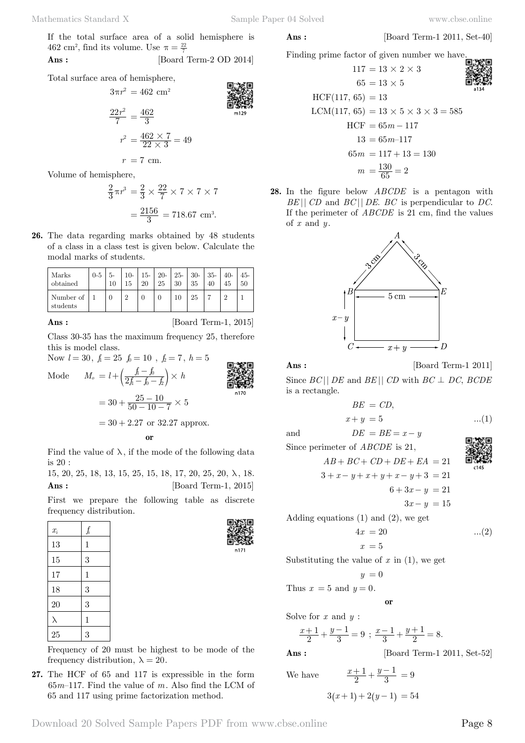If the total surface area of a solid hemisphere is 462 cm<sup>2</sup>, find its volume. Use  $\pi = \frac{22}{7}$ 

**Ans :** [Board Term-2 OD 2014]

Total surface area of hemisphere,

$$
3\pi r^2 = 462 \text{ cm}^2
$$

$$
\frac{22r^2}{7} = \frac{462}{3}
$$

$$
r^2 = \frac{462 \times 7}{22 \times 3} = 49
$$

$$
r = 7 \text{ cm.}
$$

Volume of hemisphere,

$$
\frac{2}{3}\pi r^3 = \frac{2}{3} \times \frac{22}{7} \times 7 \times 7 \times 7
$$

$$
= \frac{2156}{3} = 718.67
$$
 cm<sup>3</sup>.

**26.** The data regarding marks obtained by 48 students of a class in a class test is given below. Calculate the modal marks of students.

| Marks<br>i obtained   | $0 - 5$ | 10 |          | $15-$    | $20-$<br>25 | 30 | $25 - 30$<br>35 | $35-$ | $40-$    | $45-$ |
|-----------------------|---------|----|----------|----------|-------------|----|-----------------|-------|----------|-------|
| Number of<br>students |         |    | $\Omega$ | $\theta$ | $\theta$    |    |                 |       | $\Omega$ |       |

**Ans :** [Board Term-1, 2015]

Class 30-35 has the maximum frequency 25, therefore this is model class.

Now  $l = 30, f_1 = 25, f_0 = 10, f_2 = 7, h = 5$ 

Mode 
$$
M_o = l + \left(\frac{f - f_0}{2f - f_0 - f_2}\right) \times h
$$
  
\n
$$
= 30 + \frac{25 - 10}{50 - 10 - 7} \times 5
$$
\n
$$
= 30 + 2.27 \text{ or } 32.27 \text{ approx.}
$$
\nor

Find the value of  $\lambda$ , if the mode of the following data is 20 :

15, 20, 25, 18, 13, 15, 25, 15, 18, 17, 20, 25, 20, λ , 18. **Ans :** [Board Term-1, 2015]

First we prepare the following table as discrete frequency distribution.

| $x_i$ | $f_i$        |
|-------|--------------|
| 13    | $\mathbf{1}$ |
| 15    | 3            |
| 17    | $\mathbf{1}$ |
| 18    | 3            |
| 20    | 3            |
| λ     | $\mathbf{1}$ |
| 25    | 3            |



Frequency of 20 must be highest to be mode of the frequency distribution,  $\lambda = 20$ .

**27.** The HCF of 65 and 117 is expressible in the form 65*m*–117. Find the value of *m*. Also find the LCM of 65 and 117 using prime factorization method.

**Ans :** [Board Term-1 2011, Set-40]

Finding prime factor of given number we have.

$$
117 = 13 \times 2 \times 3
$$
\n
$$
65 = 13 \times 5
$$
\n
$$
HCF(117, 65) = 13
$$
\n
$$
LCM(117, 65) = 13 \times 5 \times 3 \times 3 = 585
$$
\n
$$
HCF = 65m - 117
$$
\n
$$
13 = 65m - 117
$$
\n
$$
65m = 117 + 13 = 130
$$
\n
$$
m = \frac{130}{65} = 2
$$

**28.** In the figure below *ABCDE* is a pentagon with *BE* || *CD* and *BC* || *DE*. *BC* is perpendicular to *DC*. If the perimeter of *ABCDE* is 21 cm, find the values of *x* and *y* .



**Ans :** [Board Term-1 2011]

Since  $BC||$  *DE* and  $BE||$  *CD* with  $BC \perp DC$ ,  $BCDE$ is a rectangle.

$$
BE = CD,
$$
  

$$
x + y = 5
$$
...(1)

and  $DE = BE = x - y$ 

Since perimeter of *ABCDE* is 21,  

$$
AB + BC + CD + DE + EA = 21
$$

$$
3 + x - y + x + y + x - y + 3 = 21
$$
  

$$
6 + 3x - y = 21
$$

$$
3x - y = 15
$$

Adding equations (1) and (2), we get

$$
4x = 20 \qquad \qquad \dots (2)
$$

Substituting the value of  $x$  in  $(1)$ , we get

$$
y = 0
$$

 $x = 5$ 

Thus  $x = 5$  and  $y = 0$ .

 **o**

Solve for *x* and *y* :

 $x+1$ ,  $y$ 2 1  $\frac{+1}{2} + \frac{y-1}{3} = 9$ ;  $\frac{x-1}{3} + \frac{y+1}{2} = 8$ . 1  $\frac{-1}{3} + \frac{y+1}{2} = 8$ 

1

**Ans :** [Board Term-1 2011, Set-52]

We have  $\frac{x+1}{2} + \frac{y}{2}$ 

$$
3(x+1) + 2(y-1) = 54
$$

 $\frac{+1}{2} + \frac{y-1}{3} = 9$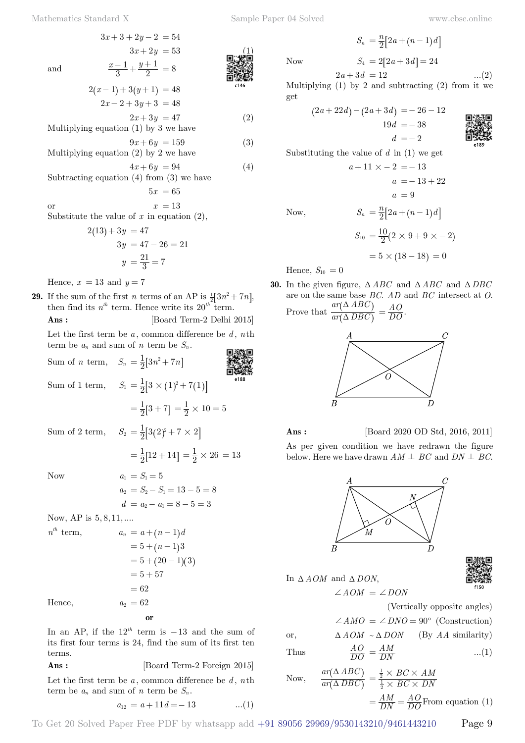$$
3x + 3 + 2y - 2 = 54
$$
\n
$$
3x + 2y = 53
$$
\nand\n
$$
\frac{x-1}{3} + \frac{y+1}{2} = 8
$$
\n**Q. 1**

$$
2(x-1) + 3(y+1) = 48
$$
  
2x-2+3y+3 = 48

 $2x + 3y = 47$  (2) Multiplying equation (1) by 3 we have

3

$$
9x + 6y = 159
$$
 (3)  
Multiplying equation (2) by 2 we have

$$
4x + 6y = 94
$$
  
Subtracting equation (4) from (3) we have  

$$
5x = 65
$$
 (4)

or  $x = 13$ 

Hence,

Substitute the value of  $x$  in equation  $(2)$ ,

$$
2(13) + 3y = 47
$$
  
 
$$
3y = 47 - 26 = 21
$$
  
 
$$
y = \frac{21}{3} = 7
$$

Hence,  $x = 13$  and  $y = 7$ 

**29.** If the sum of the first *n* terms of an AP is  $\frac{1}{a^2} [3n^2 + 7n]$ , then find its  $n^{th}$  term. Hence write its  $20^{th}$  term. **Ans :** [Board Term-2 Delhi 2015]

Let the first term be *a* , common difference be *d* , *n*th term be  $a_n$  and sum of  $n$  term be  $S_n$ .

Sum of *n* term,  $S_n = \frac{1}{2} [3n^2 + 7n]$ Sum of 1 term,  $S_1 = \frac{1}{2} [3 \times (1)^2 + 7(1)]$  $=\frac{1}{2}[3+7]=\frac{1}{2}\times 10=5$ Sum of 2 term,  $S_2 = \frac{1}{2} [3(2)^2 + 7 \times 2]$  $=\frac{1}{2}[12+14] = \frac{1}{2} \times 26 = 13$ Now  $a_1 = S_1 = 5$  $a_2 = S_2 - S_1 = 13 - 5 = 8$  $d = a_2 - a_1 = 8 - 5 = 3$ Now, AP is  $5, 8, 11, \ldots$  $n^{th}$  term,  $= 5 + (n - 1)3$  $= 5 + (20 - 1)(3)$  $= 5 + 57$ 

$$
n^{th} \text{ term}, \qquad a_n = a + (n-1)d
$$
  
= 5 + (n-1)3  
= 5 + (20-1)(3)  
= 5 + 57  
= 62  
Hence, \qquad a\_2 = 62

In an AP, if the  $12^{th}$  term is  $-13$  and the sum of its first four terms is 24, find the sum of its first ten terms.

 **o**

**Ans :** [Board Term-2 Foreign 2015]

Let the first term be  $a$ , common difference be  $d$ ,  $n$ th term be  $a_n$  and sum of *n* term be  $S_n$ .

$$
a_{12} = a + 11d = -13 \qquad \qquad ...(1)
$$

Now  $S_4 = 2[2a + 3d] = 24$ 

$$
S_4 = 2
$$

$$
2a + 3d = 2
$$

Multiplying  $(1)$  by 2 and subtracting  $(2)$  from it we get

 $S_n = \frac{n}{2} [2a + (n-1)d]$ 

$$
(2a+22d) - (2a+3d) = -26 - 12
$$
  
19d = -38  

$$
d = -2
$$

Substituting the value of *d* in (1) we get

$$
a+11 \times -2 = -13
$$

$$
a = -13 + 22
$$

$$
a = 9
$$

$$
S_n = \frac{n}{2} [2a + (n-1)d]
$$

$$
S_{10} = \frac{10}{2} (2 \times 9 + 9 \times -2)
$$

 $= 5 \times (18 - 18) = 0$ 

Hence,  $S_{10} = 0$ 

 $Now,$ 

**30.** In the given figure,  $\triangle ABC$  and  $\triangle ABC$  and  $\triangle DBC$ are on the same base *BC*. *AD* and *BC* intersect at *O*. Prove that  $\frac{d}{dr}(\triangle DBC)$  $ar(\Delta ABC)$  $\Delta$  $\Delta$  $\overline{\mathcal{L}}$  $\frac{\partial}{\partial} = \frac{AO}{DO}.$ 





**Ans :** [Board 2020 OD Std, 2016, 2011]

As per given condition we have redrawn the figure below. Here we have drawn  $AM \perp BC$  and  $DN \perp BC$ .



Now, 
$$
\frac{ar(\Delta ABC)}{ar(\Delta DBC)} = \frac{\frac{1}{2} \times BC \times AM}{\frac{1}{2} \times BC \times DN} = \frac{AM}{DN} = \frac{AO}{DO}
$$
From equation (

 $=\frac{AM}{DN}=\frac{AO}{DO}$ From equation (1)



 $\dots(2)$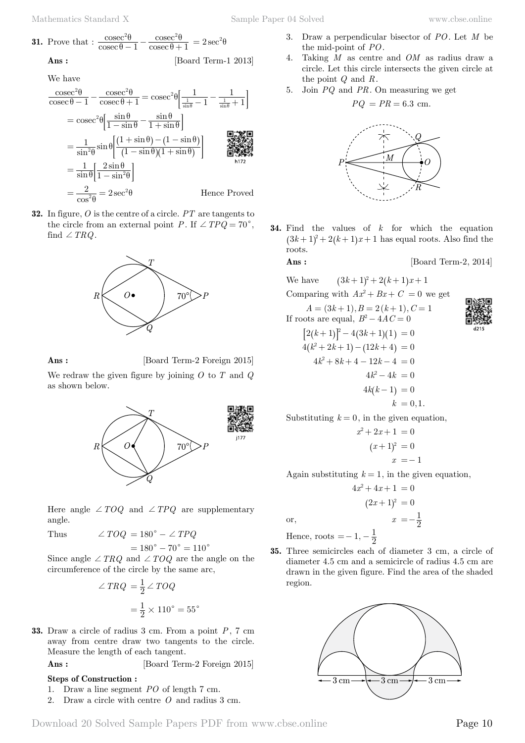**31.** Prove that : 
$$
\frac{\csc^2 \theta}{\csc \theta - 1} - \frac{\csc^2 \theta}{\csc \theta + 1} = 2 \sec^2 \theta
$$
  
Ans: [Board Term-1 2013]

We have

$$
\frac{\csc^2\theta}{\csc\theta - 1} - \frac{\csc^2\theta}{\csc\theta + 1} = \csc^2\theta \left[ \frac{1}{\frac{1}{\sin\theta} - 1} - \frac{1}{\frac{1}{\sin\theta} + 1} \right]
$$
  
\n
$$
= \csc^2\theta \left[ \frac{\sin\theta}{1 - \sin\theta} - \frac{\sin\theta}{1 + \sin\theta} \right]
$$
  
\n
$$
= \frac{1}{\sin^2\theta} \sin\theta \left[ \frac{(1 + \sin\theta) - (1 - \sin\theta)}{(1 - \sin\theta)(1 + \sin\theta)} \right]
$$
  
\n
$$
= \frac{1}{\sin\theta} \left[ \frac{2\sin\theta}{1 - \sin^2\theta} \right]
$$
  
\n
$$
= \frac{2}{\cos^2\theta} = 2\sec^2\theta
$$
 Hence Proved

**32.** In figure, *O* is the centre of a circle. *PT* are tangents to the circle from an external point *P*. If  $\angle TPQ = 70^{\circ}$ , find  $\angle TRQ$ .



**Ans :** [Board Term-2 Foreign 2015]

We redraw the given figure by joining *O* to *T* and *Q* as shown below.



Here angle  $\angle TOQ$  and  $\angle TPQ$  are supplementary angle.

Thus  $\angle TOQ = 180^{\circ} - \angle TPQ$ 

$$
=180^{\circ}-70^{\circ}=110^{\circ}
$$

Since angle  $\angle TRQ$  and  $\angle TOQ$  are the angle on the circumference of the circle by the same arc,

$$
\angle TRQ = \frac{1}{2} \angle TOQ
$$

$$
= \frac{1}{2} \times 110^{\circ} = 55^{\circ}
$$

**33.** Draw a circle of radius 3 cm. From a point *P*, 7 cm away from centre draw two tangents to the circle. Measure the length of each tangent.

**Ans :** [Board Term-2 Foreign 2015]

### **Steps of Construction :**

- 1. Draw a line segment *PO* of length 7 cm.
- 2. Draw a circle with centre *O* and radius 3 cm.
- 3. Draw a perpendicular bisector of *PO*. Let *M* be the mid-point of *PO*.
- 4. Taking *M* as centre and *OM* as radius draw a circle. Let this circle intersects the given circle at the point *Q* and *R*.
- 5. Join *PQ* and *PR*. On measuring we get

$$
PQ\,=PR=6.3\ {\rm cm}.
$$



**34.** Find the values of *k* for which the equation  $(3k+1)^2 + 2(k+1)x + 1$  has equal roots. Also find the roots.

### **Ans :** [Board Term-2, 2014]

We have 
$$
(3k+1)^2 + 2(k+1)x + 1
$$

Comparing with  $Ax^2 + Bx + C = 0$  we get

 $A = (3k+1), B = 2(k+1), C = 1$ If roots are equal,  $B^2 - 4AC = 0$ 

$$
[2(k+1)]^{2} - 4(3k+1)(1) = 0
$$
  
\n
$$
4(k^{2} + 2k+1) - (12k+4) = 0
$$
  
\n
$$
4k^{2} + 8k+4 - 12k - 4 = 0
$$
  
\n
$$
4k^{2} - 4k = 0
$$
  
\n
$$
4k(k-1) = 0
$$
  
\n
$$
k = 0.1
$$

Substituting  $k = 0$ , in the given equation,  $r^2$ 

$$
+2x+1=0
$$

$$
(x+1)2 = 0
$$

$$
x = -1
$$

Again substituting  $k = 1$ , in the given equation,

$$
4x2 + 4x + 1 = 0
$$

$$
(2x+1)2 = 0
$$
or,
$$
x = -\frac{1}{2}
$$

Hence, roots  $=-1, -\frac{1}{2}$ 

**35.** Three semicircles each of diameter 3 cm, a circle of diameter 4.5 cm and a semicircle of radius 4.5 cm are drawn in the given figure. Find the area of the shaded region.